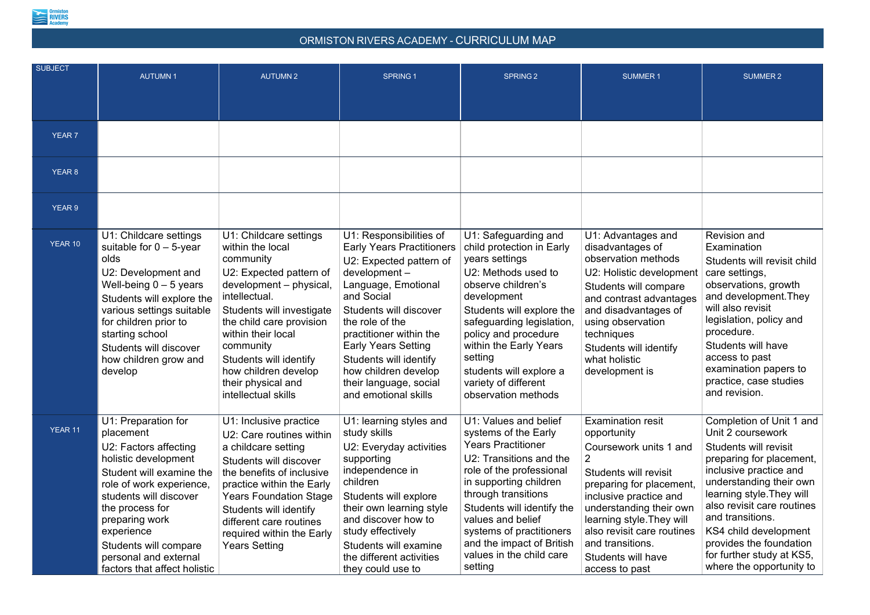

## ORMISTON RIVERS ACADEMY - CURRICULUM MAP

| <b>SUBJECT</b> | <b>AUTUMN1</b>                                                                                                                                                                                                                                                                                           | <b>AUTUMN2</b>                                                                                                                                                                                                                                                                                                            | <b>SPRING 1</b>                                                                                                                                                                                                                                                                                                                                       | <b>SPRING 2</b>                                                                                                                                                                                                                                                                                                                       | <b>SUMMER1</b>                                                                                                                                                                                                                                                                                     | <b>SUMMER 2</b>                                                                                                                                                                                                                                                                                                                                            |  |  |  |
|----------------|----------------------------------------------------------------------------------------------------------------------------------------------------------------------------------------------------------------------------------------------------------------------------------------------------------|---------------------------------------------------------------------------------------------------------------------------------------------------------------------------------------------------------------------------------------------------------------------------------------------------------------------------|-------------------------------------------------------------------------------------------------------------------------------------------------------------------------------------------------------------------------------------------------------------------------------------------------------------------------------------------------------|---------------------------------------------------------------------------------------------------------------------------------------------------------------------------------------------------------------------------------------------------------------------------------------------------------------------------------------|----------------------------------------------------------------------------------------------------------------------------------------------------------------------------------------------------------------------------------------------------------------------------------------------------|------------------------------------------------------------------------------------------------------------------------------------------------------------------------------------------------------------------------------------------------------------------------------------------------------------------------------------------------------------|--|--|--|
|                |                                                                                                                                                                                                                                                                                                          |                                                                                                                                                                                                                                                                                                                           |                                                                                                                                                                                                                                                                                                                                                       |                                                                                                                                                                                                                                                                                                                                       |                                                                                                                                                                                                                                                                                                    |                                                                                                                                                                                                                                                                                                                                                            |  |  |  |
|                |                                                                                                                                                                                                                                                                                                          |                                                                                                                                                                                                                                                                                                                           |                                                                                                                                                                                                                                                                                                                                                       |                                                                                                                                                                                                                                                                                                                                       |                                                                                                                                                                                                                                                                                                    |                                                                                                                                                                                                                                                                                                                                                            |  |  |  |
| <b>YEAR 7</b>  |                                                                                                                                                                                                                                                                                                          |                                                                                                                                                                                                                                                                                                                           |                                                                                                                                                                                                                                                                                                                                                       |                                                                                                                                                                                                                                                                                                                                       |                                                                                                                                                                                                                                                                                                    |                                                                                                                                                                                                                                                                                                                                                            |  |  |  |
| YEAR 8         |                                                                                                                                                                                                                                                                                                          |                                                                                                                                                                                                                                                                                                                           |                                                                                                                                                                                                                                                                                                                                                       |                                                                                                                                                                                                                                                                                                                                       |                                                                                                                                                                                                                                                                                                    |                                                                                                                                                                                                                                                                                                                                                            |  |  |  |
| YEAR 9         |                                                                                                                                                                                                                                                                                                          |                                                                                                                                                                                                                                                                                                                           |                                                                                                                                                                                                                                                                                                                                                       |                                                                                                                                                                                                                                                                                                                                       |                                                                                                                                                                                                                                                                                                    |                                                                                                                                                                                                                                                                                                                                                            |  |  |  |
| YEAR 10        | U1: Childcare settings<br>suitable for $0 - 5$ -year<br>olds<br>U2: Development and<br>Well-being $0 - 5$ years<br>Students will explore the<br>various settings suitable<br>for children prior to<br>starting school<br>Students will discover<br>how children grow and<br>develop                      | U1: Childcare settings<br>within the local<br>community<br>U2: Expected pattern of<br>development - physical,<br>intellectual.<br>Students will investigate<br>the child care provision<br>within their local<br>community<br>Students will identify<br>how children develop<br>their physical and<br>intellectual skills | U1: Responsibilities of<br><b>Early Years Practitioners</b><br>U2: Expected pattern of<br>development-<br>Language, Emotional<br>and Social<br>Students will discover<br>the role of the<br>practitioner within the<br><b>Early Years Setting</b><br>Students will identify<br>how children develop<br>their language, social<br>and emotional skills | U1: Safeguarding and<br>child protection in Early<br>years settings<br>U2: Methods used to<br>observe children's<br>development<br>Students will explore the<br>safeguarding legislation,<br>policy and procedure<br>within the Early Years<br>setting<br>students will explore a<br>variety of different<br>observation methods      | U1: Advantages and<br>disadvantages of<br>observation methods<br>U2: Holistic development<br>Students will compare<br>and contrast advantages<br>and disadvantages of<br>using observation<br>techniques<br>Students will identify<br>what holistic<br>development is                              | <b>Revision and</b><br>Examination<br>Students will revisit child<br>care settings,<br>observations, growth<br>and development. They<br>will also revisit<br>legislation, policy and<br>procedure.<br>Students will have<br>access to past<br>examination papers to<br>practice, case studies<br>and revision.                                             |  |  |  |
| <b>YEAR 11</b> | U1: Preparation for<br>placement<br>U2: Factors affecting<br>holistic development<br>Student will examine the<br>role of work experience,<br>students will discover<br>the process for<br>preparing work<br>experience<br>Students will compare<br>personal and external<br>factors that affect holistic | U1: Inclusive practice<br>U2: Care routines within<br>a childcare setting<br>Students will discover<br>the benefits of inclusive<br>practice within the Early<br><b>Years Foundation Stage</b><br>Students will identify<br>different care routines<br>required within the Early<br>Years Setting                         | U1: learning styles and<br>study skills<br>U2: Everyday activities<br>supporting<br>independence in<br>children<br>Students will explore<br>their own learning style<br>and discover how to<br>study effectively<br>Students will examine<br>the different activities<br>they could use to                                                            | U1: Values and belief<br>systems of the Early<br><b>Years Practitioner</b><br>U2: Transitions and the<br>role of the professional<br>in supporting children<br>through transitions<br>Students will identify the<br>values and belief<br>systems of practitioners<br>and the impact of British<br>values in the child care<br>setting | <b>Examination resit</b><br>opportunity<br>Coursework units 1 and<br>Students will revisit<br>preparing for placement,<br>inclusive practice and<br>understanding their own<br>learning style. They will<br>also revisit care routines<br>and transitions.<br>Students will have<br>access to past | Completion of Unit 1 and<br>Unit 2 coursework<br><b>Students will revisit</b><br>preparing for placement,<br>inclusive practice and<br>understanding their own<br>learning style. They will<br>also revisit care routines<br>and transitions.<br>KS4 child development<br>provides the foundation<br>for further study at KS5,<br>where the opportunity to |  |  |  |